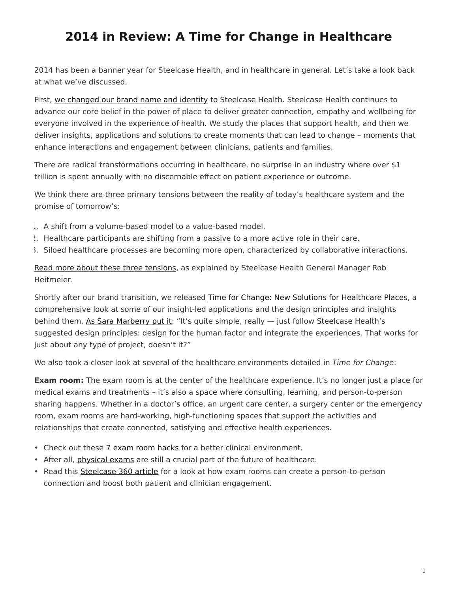## <span id="page-0-0"></span>**2014 in Review: A Time for Change in Healthcare**

2014 has been a banner year for Steelcase Health, and in healthcare in general. Let's take a look back at what we've discussed.

First, [we changed our brand name and identity](https://www.steelcase.com/posts/nurture-by-steelcase-is-now-steelcase-health/) to Steelcase Health. Steelcase Health continues to advance our core belief in the power of place to deliver greater connection, empathy and wellbeing for everyone involved in the experience of health. We study the places that support health, and then we deliver insights, applications and solutions to create moments that can lead to change – moments that enhance interactions and engagement between clinicians, patients and families.

There are radical transformations occurring in healthcare, no surprise in an industry where over \$1 trillion is spent annually with no discernable effect on patient experience or outcome.

We think there are three primary tensions between the reality of today's healthcare system and the promise of tomorrow's:

- 1. A shift from a volume-based model to a value-based model.
- 2. Healthcare participants are shifting from a passive to a more active role in their care.
- 3. Siloed healthcare processes are becoming more open, characterized by collaborative interactions.

[Read more about these three tensions,](https://www.steelcase.com/posts/three-transformative-healthcare-tensions/) as explained by Steelcase Health General Manager Rob Heitmeier.

Shortly after our brand transition, we released [Time for Change: New Solutions for Healthcare Places](https://www.steelcase.com/resources/documents/steelcase-health-time-change-insights-applications-guide/), a comprehensive look at some of our insight-led applications and the design principles and insights behind them. [As Sara Marberry put it:](https://www.steelcase.com/posts/experiencing-a-time-for-change/) "It's quite simple, really  $-$  just follow Steelcase Health's suggested design principles: design for the human factor and integrate the experiences. That works for just about any type of project, doesn't it?"

We also took a closer look at several of the healthcare environments detailed in *Time for Change*:

**Exam room:** The exam room is at the center of the healthcare experience. It's no longer just a place for medical exams and treatments – it's also a space where consulting, learning, and person-to-person sharing happens. Whether in a doctor's office, an urgent care center, a surgery center or the emergency room, exam rooms are hard-working, high-functioning spaces that support the activities and relationships that create connected, satisfying and effective health experiences.

- Check out these [7 exam room hacks](https://www.steelcase.com/posts/7-exam-room-hacks-for-a-better-clinical-environment/) for a better clinical environment.
- After all, *[physical exams](https://www.steelcase.com/posts/physical-exams-still-a-crucial-part-of-healthcares-future/)* are still a crucial part of the future of healthcare.
- Read this [Steelcase 360 article](https://www.steelcase.com/posts/aligning-healthcare-environments-to-meet-peoples-needs/) for a look at how exam rooms can create a person-to-person connection and boost both patient and clinician engagement.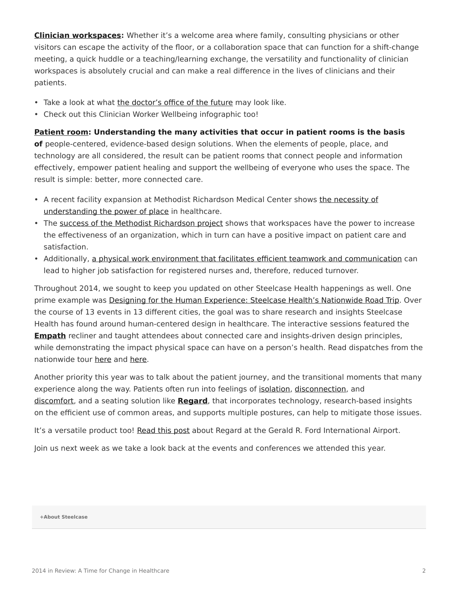**[Clinician workspaces](https://www.steelcase.com/posts/a-time-for-change-in-clinician-workspaces/):** Whether it's a welcome area where family, consulting physicians or other visitors can escape the activity of the floor, or a collaboration space that can function for a shift-change meeting, a quick huddle or a teaching/learning exchange, the versatility and functionality of clinician workspaces is absolutely crucial and can make a real difference in the lives of clinicians and their patients.

- Take a look at what [the doctor's office of the future](https://www.steelcase.com/posts/3-exciting-features-of-the-doctors-office-of-the-future/) may look like.
- Check out this Clinician Worker Wellbeing infographic too!

**[Patient room](https://www.steelcase.com/posts/a-time-for-change-in-the-patient-room/): Understanding the many activities that occur in patient rooms is the basis of** people-centered, evidence-based design solutions. When the elements of people, place, and technology are all considered, the result can be patient rooms that connect people and information effectively, empower patient healing and support the wellbeing of everyone who uses the space. The

result is simple: better, more connected care.

- A recent facility expansion at Methodist Richardson Medical Center shows [the necessity of](https://www.steelcase.com/posts/the-power-of-place-in-healthcare-environments-2/) [understanding the power of place](https://www.steelcase.com/posts/the-power-of-place-in-healthcare-environments-2/) in healthcare.
- The [success of the Methodist Richardson project](https://www.steelcase.com/posts/texas-hospital-follows-nurses-advice-in-re-design/) shows that workspaces have the power to increase the effectiveness of an organization, which in turn can have a positive impact on patient care and satisfaction.
- Additionally, [a physical work environment that facilitates efficient teamwork and communication](https://www.steelcase.com/posts/healthcare-design-can-affect-nurse-job-satisfaction/) can lead to higher job satisfaction for registered nurses and, therefore, reduced turnover.

Throughout 2014, we sought to keep you updated on other Steelcase Health happenings as well. One prime example was [Designing for the Human Experience: Steelcase Health's Nationwide Road Trip.](https://www.steelcase.com/posts/designing-for-the-human-experience-steelcase-healths-nationwide-road-trip/) Over the course of 13 events in 13 different cities, the goal was to share research and insights Steelcase Health has found around human-centered design in healthcare. The interactive sessions featured the **[Empath](https://www.steelcase.com/products/patient-bariatric-chairs/empath/)** recliner and taught attendees about connected care and insights-driven design principles, while demonstrating the impact physical space can have on a person's health. Read dispatches from the nationwide tour [here](https://www.steelcase.com/posts/empath-on-tour-dispatch-one/) and [here](https://www.steelcase.com/posts/empath-on-tour-dispatch-two/).

Another priority this year was to talk about the patient journey, and the transitional moments that many experience along the way. Patients often run into feelings of [isolation,](https://www.steelcase.com/posts/patient-isolation-how-technology-can-solve-it/) [disconnection,](https://www.steelcase.com/posts/patient-disconnect-and-how-to-better-use-common-areas/) and [discomfort,](https://www.steelcase.com/posts/patient-discomfort-and-how-common-areas-can-help/) and a seating solution like **[Regard](https://www.steelcase.com/products/bookcases-cabinets/regard/)**, that incorporates technology, research-based insights on the efficient use of common areas, and supports multiple postures, can help to mitigate those issues.

It's a versatile product too! [Read this post](https://www.steelcase.com/posts/regard-installed-at-the-gerald-r-ford-international-airport/) about Regard at the Gerald R. Ford International Airport.

Join us next week as we take a look back at the events and conferences we attended this year.

**[+About Steelcase](https://www.steelcase.com/discover/steelcase/our-company/)**